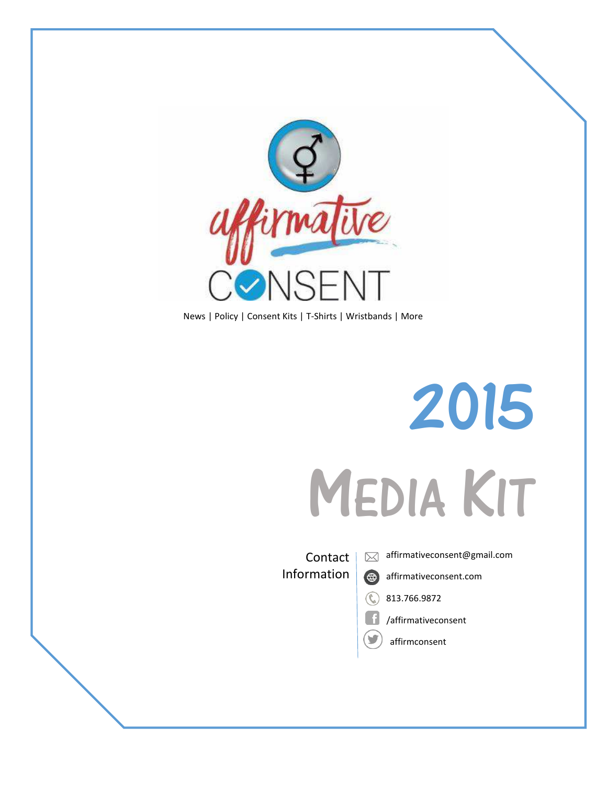

News | Policy | Consent Kits | T-Shirts | Wristbands | More



**Contact** Information

affirmativeconsent@gmail.com  $\boxtimes$ 

affirmativeconsent.com



6

/affirmativeconsent

affirmconsent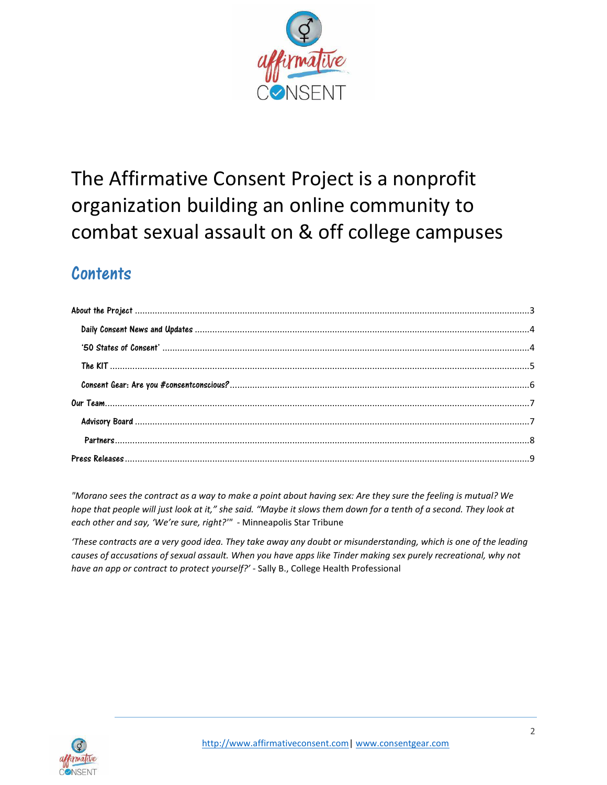

# The Affirmative Consent Project is a nonprofit organization building an online community to combat sexual assault on & off college campuses

## Contents

*"Morano sees the contract as a way to make a point about having sex: Are they sure the feeling is mutual? We hope that people will just look at it," she said. "Maybe it slows them down for a tenth of a second. They look at each other and say, 'We're sure, right?'"* - Minneapolis Star Tribune

*͚These contracts are a very good idea. They take away any doubt or misunderstanding, which is one of the leading causes of accusations of sexual assault. When you have apps like Tinder making sex purely recreational, why not have an app or contract to protect yourself?͛* - Sally B., College Health Professional

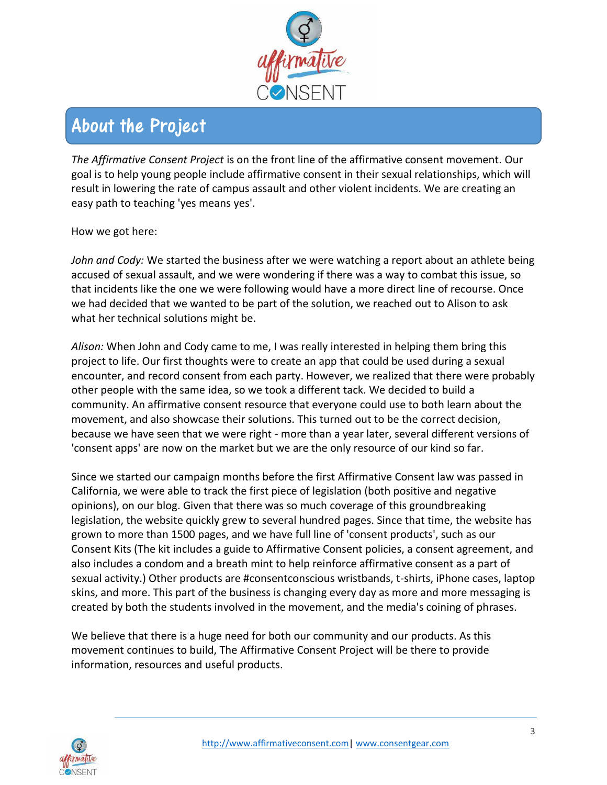

## <span id="page-2-0"></span>About the Project

*The Affirmative Consent Project* is on the front line of the affirmative consent movement. Our goal is to help young people include affirmative consent in their sexual relationships, which will result in lowering the rate of campus assault and other violent incidents. We are creating an easy path to teaching 'yes means yes'.

How we got here:

*John and Cody:* We started the business after we were watching a report about an athlete being accused of sexual assault, and we were wondering if there was a way to combat this issue, so that incidents like the one we were following would have a more direct line of recourse. Once we had decided that we wanted to be part of the solution, we reached out to Alison to ask what her technical solutions might be.

*Alison:* When John and Cody came to me, I was really interested in helping them bring this project to life. Our first thoughts were to create an app that could be used during a sexual encounter, and record consent from each party. However, we realized that there were probably other people with the same idea, so we took a different tack. We decided to build a community. An affirmative consent resource that everyone could use to both learn about the movement, and also showcase their solutions. This turned out to be the correct decision, because we have seen that we were right - more than a year later, several different versions of 'consent apps' are now on the market but we are the only resource of our kind so far.

Since we started our campaign months before the first Affirmative Consent law was passed in California, we were able to track the first piece of legislation (both positive and negative opinions), on our blog. Given that there was so much coverage of this groundbreaking legislation, the website quickly grew to several hundred pages. Since that time, the website has grown to more than 1500 pages, and we have full line of 'consent products', such as our Consent Kits (The kit includes a guide to Affirmative Consent policies, a consent agreement, and also includes a condom and a breath mint to help reinforce affirmative consent as a part of sexual activity.) Other products are #consentconscious wristbands, t-shirts, iPhone cases, laptop skins, and more. This part of the business is changing every day as more and more messaging is created by both the students involved in the movement, and the media's coining of phrases.

We believe that there is a huge need for both our community and our products. As this movement continues to build, The Affirmative Consent Project will be there to provide information, resources and useful products.

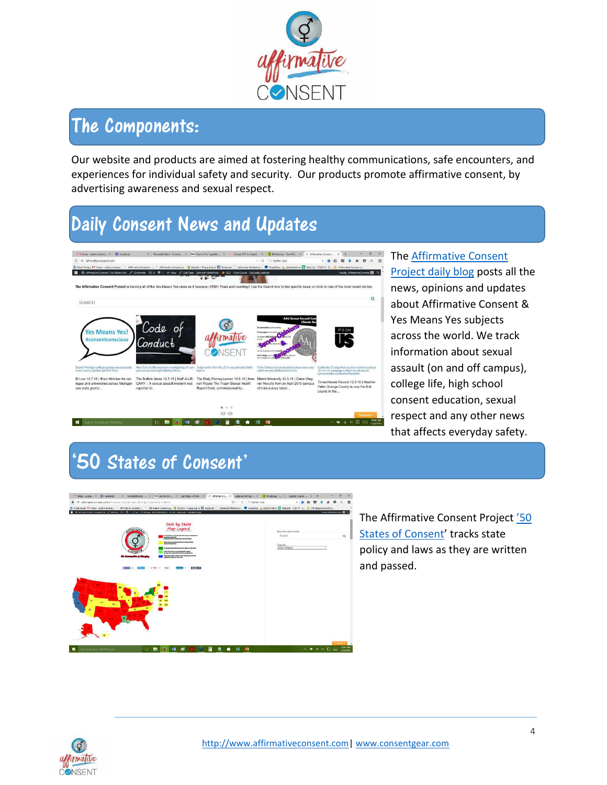

## The Components:

Our website and products are aimed at fostering healthy communications, safe encounters, and experiences for individual safety and security. Our products promote affirmative consent, by advertising awareness and sexual respect.

# <span id="page-3-0"></span>Daily Consent News and Updates



The [Affirmative Consent](http://www.affirmativeconsent.com/)  [Project daily blog](http://www.affirmativeconsent.com/) posts all the news, opinions and updates about Affirmative Consent & Yes Means Yes subjects across the world. We track information about sexual assault (on and off campus), college life, high school consent education, sexual respect and any other news that affects everyday safety.

## <span id="page-3-1"></span>'50 States of Consent'



The Affirmative Consent Project '50 [States of Consent](http://affirmativeconsent.com/affirmative-consent-laws-state-by-state/)' tracks state policy and laws as they are written and passed.

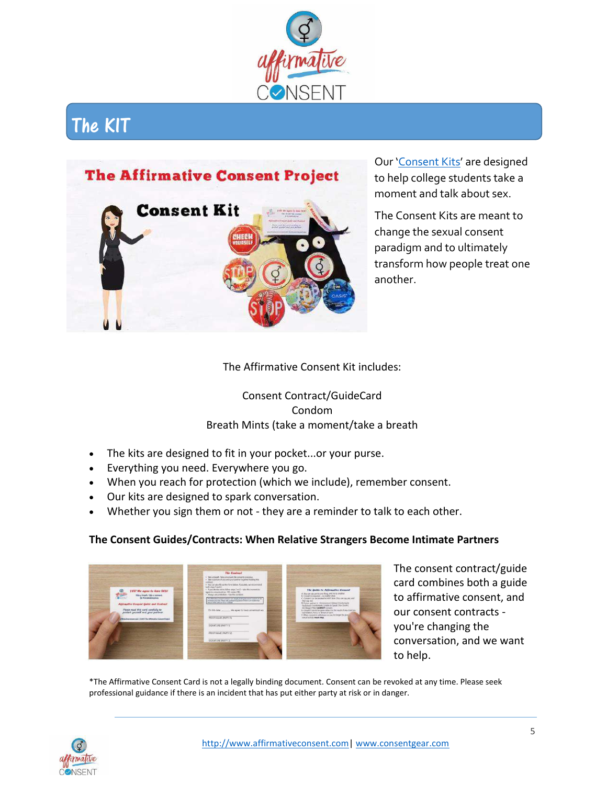

## <span id="page-4-0"></span>The KIT



Our '[Consent Kits](http://consentgear.com/products/get-your-affirmative-consent-on-everything-you-need-for-a-safe-encounter-guide-cards)' are designed to help college students take a moment and talk about sex.

The Consent Kits are meant to change the sexual consent paradigm and to ultimately transform how people treat one another.

### The Affirmative Consent Kit includes:

Consent Contract/GuideCard Condom Breath Mints (take a moment/take a breath

- The kits are designed to fit in your pocket...or your purse.
- Everything you need. Everywhere you go.
- When you reach for protection (which we include), remember consent.
- Our kits are designed to spark conversation.
- Whether you sign them or not they are a reminder to talk to each other.

#### **The Consent Guides/Contracts: When Relative Strangers Become Intimate Partners**



The consent contract/guide card combines both a guide to affirmative consent, and our consent contracts you're changing the conversation, and we want to help.

\*The Affirmative Consent Card is not a legally binding document. Consent can be revoked at any time. Please seek professional guidance if there is an incident that has put either party at risk or in danger.

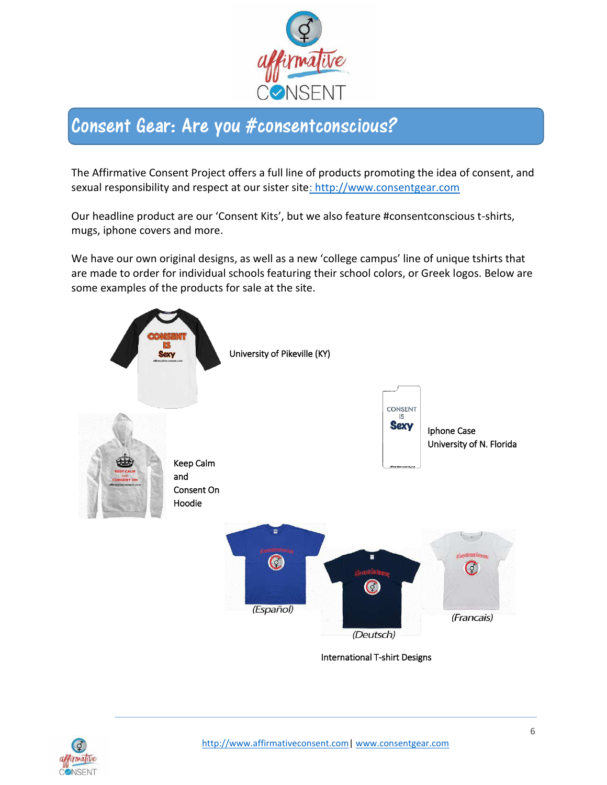

## <span id="page-5-0"></span>Consent Gear: Are you #consentconscious?

The Affirmative Consent Project offers a full line of products promoting the idea of consent, and sexual responsibility and respect at our sister sit[e: http://www.consentgear.com](:%20http:/www.consentgear.com)

Our headline product are our 'Consent Kits', but we also feature #consentconscious t-shirts, mugs, iphone covers and more.

We have our own original designs, as well as a new 'college campus' line of unique tshirts that are made to order for individual schools featuring their school colors, or Greek logos. Below are some examples of the products for sale at the site.



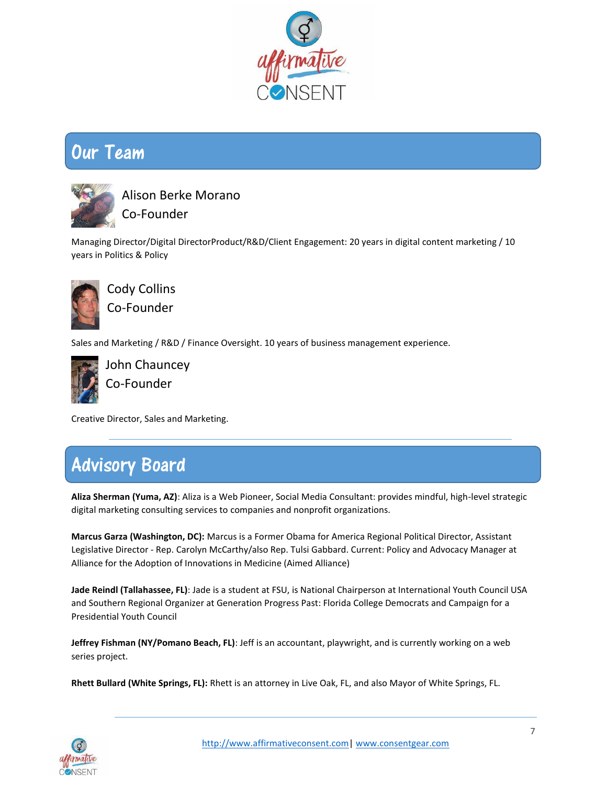

### <span id="page-6-0"></span>Our Team



Alison Berke Morano Co-Founder

Managing Director/Digital DirectorProduct/R&D/Client Engagement: 20 years in digital content marketing / 10 years in Politics & Policy



Cody Collins Co-Founder

Sales and Marketing / R&D / Finance Oversight. 10 years of business management experience.



John Chauncey Co-Founder

Creative Director, Sales and Marketing.

## <span id="page-6-1"></span>Advisory Board

**Aliza Sherman (Yuma, AZ)**: Aliza is a Web Pioneer, Social Media Consultant: provides mindful, high-level strategic digital marketing consulting services to companies and nonprofit organizations.

**Marcus Garza (Washington, DC):** Marcus is a Former Obama for America Regional Political Director, Assistant Legislative Director - Rep. Carolyn McCarthy/also Rep. Tulsi Gabbard. Current: Policy and Advocacy Manager at Alliance for the Adoption of Innovations in Medicine (Aimed Alliance)

**Jade Reindl (Tallahassee, FL)**: Jade is a student at FSU, is National Chairperson at International Youth Council USA and Southern Regional Organizer at Generation Progress Past: Florida College Democrats and Campaign for a Presidential Youth Council

**Jeffrey Fishman (NY/Pomano Beach, FL)**: Jeff is an accountant, playwright, and is currently working on a web series project.

**Rhett Bullard (White Springs, FL):** Rhett is an attorney in Live Oak, FL, and also Mayor of White Springs, FL.

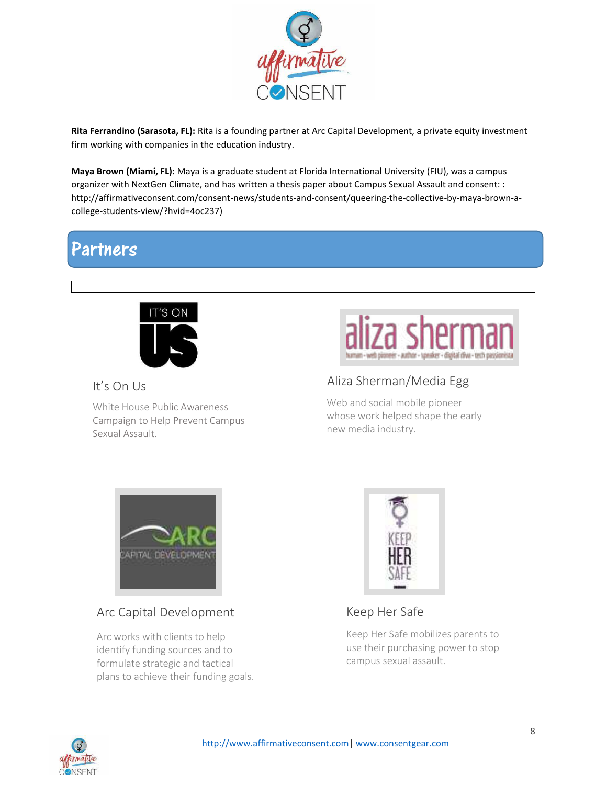

**Rita Ferrandino (Sarasota, FL):** Rita is a founding partner at Arc Capital Development, a private equity investment firm working with companies in the education industry.

**Maya Brown (Miami, FL):** Maya is a graduate student at Florida International University (FIU), was a campus organizer with NextGen Climate, and has written a thesis paper about Campus Sexual Assault and consent: : http://affirmativeconsent.com/consent-news/students-and-consent/queering-the-collective-by-maya-brown-acollege-students-view/?hvid=4oc237)

### <span id="page-7-0"></span>Partners



It's On Us

White House Public Awareness Campaign to Help Prevent Campus Sexual Assault.



### Aliza Sherman/Media Egg

Web and social mobile pioneer whose work helped shape the early new media industry.



### Arc Capital Development

Arc works with clients to help identify funding sources and to formulate strategic and tactical plans to achieve their funding goals.



Keep Her Safe

Keep Her Safe mobilizes parents to use their purchasing power to stop campus sexual assault.

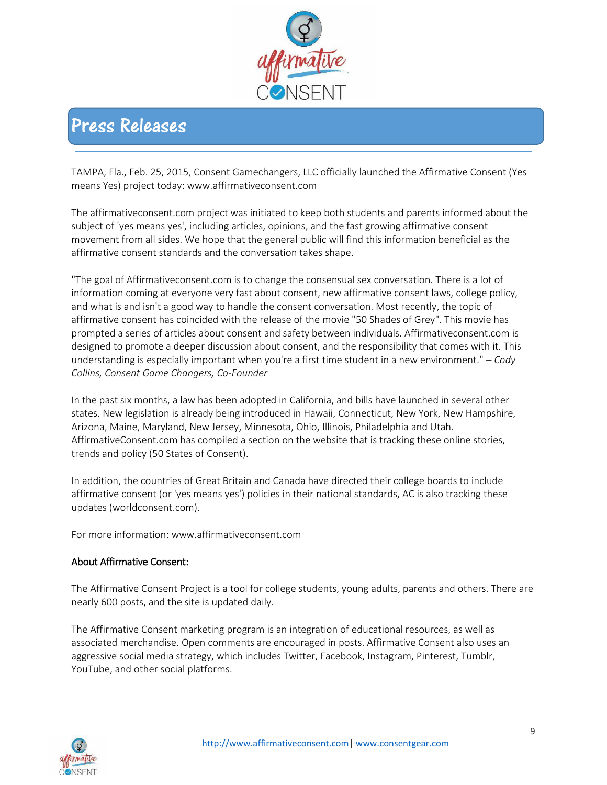

### <span id="page-8-0"></span>Press Releases

TAMPA, Fla., Feb. 25, 2015, Consent Gamechangers, LLC officially launched the Affirmative Consent (Yes means Yes) project today: www.affirmativeconsent.com

The affirmativeconsent.com project was initiated to keep both students and parents informed about the subject of 'yes means yes', including articles, opinions, and the fast growing affirmative consent movement from all sides. We hope that the general public will find this information beneficial as the affirmative consent standards and the conversation takes shape.

"The goal of Affirmativeconsent.com is to change the consensual sex conversation. There is a lot of information coming at everyone very fast about consent, new affirmative consent laws, college policy, and what is and isn't a good way to handle the consent conversation. Most recently, the topic of affirmative consent has coincided with the release of the movie "50 Shades of Grey". This movie has prompted a series of articles about consent and safety between individuals. Affirmativeconsent.com is designed to promote a deeper discussion about consent, and the responsibility that comes with it. This understanding is especially important when you're a first time student in a new environment." – *Cody Collins, Consent Game Changers, Co-Founder*

In the past six months, a law has been adopted in California, and bills have launched in several other states. New legislation is already being introduced in Hawaii, Connecticut, New York, New Hampshire, Arizona, Maine, Maryland, New Jersey, Minnesota, Ohio, Illinois, Philadelphia and Utah. AffirmativeConsent.com has compiled a section on the website that is tracking these online stories, trends and policy (50 States of Consent).

In addition, the countries of Great Britain and Canada have directed their college boards to include affirmative consent (or 'yes means yes') policies in their national standards, AC is also tracking these updates (worldconsent.com).

For more information: www.affirmativeconsent.com

#### About Affirmative Consent:

The Affirmative Consent Project is a tool for college students, young adults, parents and others. There are nearly 600 posts, and the site is updated daily.

The Affirmative Consent marketing program is an integration of educational resources, as well as associated merchandise. Open comments are encouraged in posts. Affirmative Consent also uses an aggressive social media strategy, which includes Twitter, Facebook, Instagram, Pinterest, Tumblr, YouTube, and other social platforms.

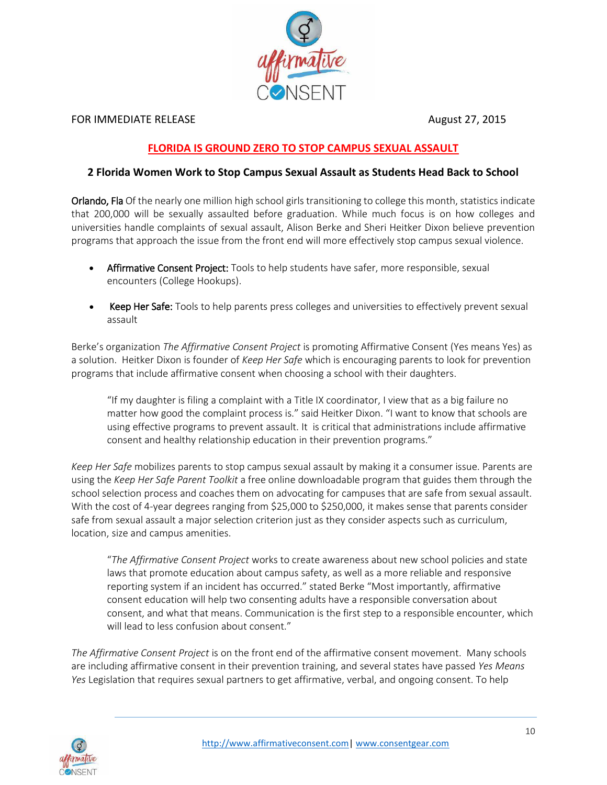

#### FOR IMMEDIATE RELEASE **August 27, 2015**

### **FLORIDA IS GROUND ZERO TO STOP CAMPUS SEXUAL ASSAULT**

#### **2 Florida Women Work to Stop Campus Sexual Assault as Students Head Back to School**

Orlando, Fla Of the nearly one million high school girls transitioning to college this month, statistics indicate that 200,000 will be sexually assaulted before graduation. While much focus is on how colleges and universities handle complaints of sexual assault, Alison Berke and Sheri Heitker Dixon believe prevention programs that approach the issue from the front end will more effectively stop campus sexual violence.

- Affirmative Consent Project: Tools to help students have safer, more responsible, sexual encounters (College Hookups).
- Keep Her Safe: Tools to help parents press colleges and universities to effectively prevent sexual assault

Berke's organization *The Affirmative Consent Project* is promoting Affirmative Consent (Yes means Yes) as a solution. Heitker Dixon is founder of *Keep Her Safe* which is encouraging parents to look for prevention programs that include affirmative consent when choosing a school with their daughters.

"If my daughter is filing a complaint with a Title IX coordinator, I view that as a big failure no matter how good the complaint process is.<sup>*"*</sup> said Heitker Dixon. "I want to know that schools are using effective programs to prevent assault. It is critical that administrations include affirmative consent and healthy relationship education in their prevention programs."

*Keep Her Safe* mobilizes parents to stop campus sexual assault by making it a consumer issue. Parents are using the *Keep Her Safe Parent Toolkit* a free online downloadable program that guides them through the school selection process and coaches them on advocating for campuses that are safe from sexual assault. With the cost of 4-year degrees ranging from \$25,000 to \$250,000, it makes sense that parents consider safe from sexual assault a major selection criterion just as they consider aspects such as curriculum, location, size and campus amenities.

͞*The Affirmative Consent Project* works to create awareness about new school policies and state laws that promote education about campus safety, as well as a more reliable and responsive reporting system if an incident has occurred.<sup>™</sup> stated Berke "Most importantly, affirmative consent education will help two consenting adults have a responsible conversation about consent, and what that means. Communication is the first step to a responsible encounter, which will lead to less confusion about consent.

*The Affirmative Consent Project* is on the front end of the affirmative consent movement. Many schools are including affirmative consent in their prevention training, and several states have passed *Yes Means Yes* Legislation that requires sexual partners to get affirmative, verbal, and ongoing consent. To help